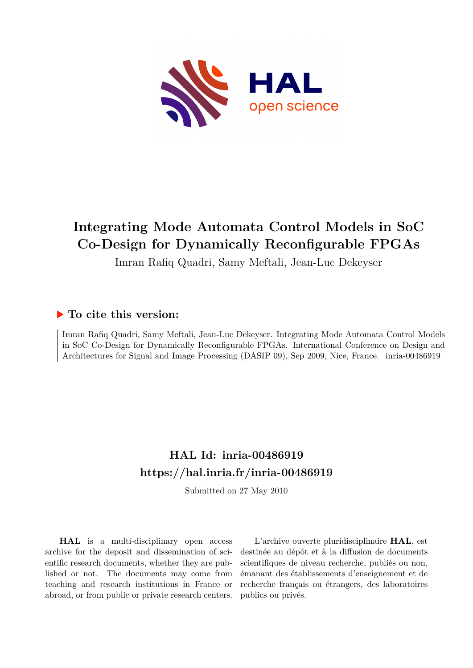

## **Integrating Mode Automata Control Models in SoC Co-Design for Dynamically Reconfigurable FPGAs**

Imran Rafiq Quadri, Samy Meftali, Jean-Luc Dekeyser

### **To cite this version:**

Imran Rafiq Quadri, Samy Meftali, Jean-Luc Dekeyser. Integrating Mode Automata Control Models in SoC Co-Design for Dynamically Reconfigurable FPGAs. International Conference on Design and Architectures for Signal and Image Processing (DASIP 09), Sep 2009, Nice, France. inria-00486919

## **HAL Id: inria-00486919 <https://hal.inria.fr/inria-00486919>**

Submitted on 27 May 2010

**HAL** is a multi-disciplinary open access archive for the deposit and dissemination of scientific research documents, whether they are published or not. The documents may come from teaching and research institutions in France or abroad, or from public or private research centers.

L'archive ouverte pluridisciplinaire **HAL**, est destinée au dépôt et à la diffusion de documents scientifiques de niveau recherche, publiés ou non, émanant des établissements d'enseignement et de recherche français ou étrangers, des laboratoires publics ou privés.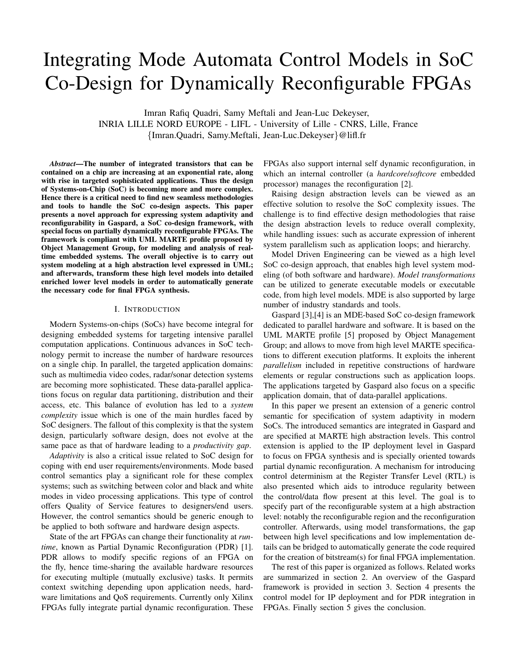# Integrating Mode Automata Control Models in SoC Co-Design for Dynamically Reconfigurable FPGAs

Imran Rafiq Quadri, Samy Meftali and Jean-Luc Dekeyser, INRIA LILLE NORD EUROPE - LIFL - University of Lille - CNRS, Lille, France {Imran.Quadri, Samy.Meftali, Jean-Luc.Dekeyser}@lifl.fr

*Abstract*—The number of integrated transistors that can be contained on a chip are increasing at an exponential rate, along with rise in targeted sophisticated applications. Thus the design of Systems-on-Chip (SoC) is becoming more and more complex. Hence there is a critical need to find new seamless methodologies and tools to handle the SoC co-design aspects. This paper presents a novel approach for expressing system adaptivity and reconfigurability in Gaspard, a SoC co-design framework, with special focus on partially dynamically reconfigurable FPGAs. The framework is compliant with UML MARTE profile proposed by Object Management Group, for modeling and analysis of realtime embedded systems. The overall objective is to carry out system modeling at a high abstraction level expressed in UML; and afterwards, transform these high level models into detailed enriched lower level models in order to automatically generate the necessary code for final FPGA synthesis.

#### I. INTRODUCTION

Modern Systems-on-chips (SoCs) have become integral for designing embedded systems for targeting intensive parallel computation applications. Continuous advances in SoC technology permit to increase the number of hardware resources on a single chip. In parallel, the targeted application domains: such as multimedia video codes, radar/sonar detection systems are becoming more sophisticated. These data-parallel applications focus on regular data partitioning, distribution and their access, etc. This balance of evolution has led to a *system complexity* issue which is one of the main hurdles faced by SoC designers. The fallout of this complexity is that the system design, particularly software design, does not evolve at the same pace as that of hardware leading to a *productivity gap*.

*Adaptivity* is also a critical issue related to SoC design for coping with end user requirements/environments. Mode based control semantics play a significant role for these complex systems; such as switching between color and black and white modes in video processing applications. This type of control offers Quality of Service features to designers/end users. However, the control semantics should be generic enough to be applied to both software and hardware design aspects.

State of the art FPGAs can change their functionality at *runtime*, known as Partial Dynamic Reconfiguration (PDR) [1]. PDR allows to modify specific regions of an FPGA on the fly, hence time-sharing the available hardware resources for executing multiple (mutually exclusive) tasks. It permits context switching depending upon application needs, hardware limitations and QoS requirements. Currently only Xilinx FPGAs fully integrate partial dynamic reconfiguration. These

FPGAs also support internal self dynamic reconfiguration, in which an internal controller (a *hardcore*/*softcore* embedded processor) manages the reconfiguration [2].

Raising design abstraction levels can be viewed as an effective solution to resolve the SoC complexity issues. The challenge is to find effective design methodologies that raise the design abstraction levels to reduce overall complexity, while handling issues: such as accurate expression of inherent system parallelism such as application loops; and hierarchy.

Model Driven Engineering can be viewed as a high level SoC co-design approach, that enables high level system modeling (of both software and hardware). *Model transformations* can be utilized to generate executable models or executable code, from high level models. MDE is also supported by large number of industry standards and tools.

Gaspard [3],[4] is an MDE-based SoC co-design framework dedicated to parallel hardware and software. It is based on the UML MARTE profile [5] proposed by Object Management Group; and allows to move from high level MARTE specifications to different execution platforms. It exploits the inherent *parallelism* included in repetitive constructions of hardware elements or regular constructions such as application loops. The applications targeted by Gaspard also focus on a specific application domain, that of data-parallel applications.

In this paper we present an extension of a generic control semantic for specification of system adaptivity in modern SoCs. The introduced semantics are integrated in Gaspard and are specified at MARTE high abstraction levels. This control extension is applied to the IP deployment level in Gaspard to focus on FPGA synthesis and is specially oriented towards partial dynamic reconfiguration. A mechanism for introducing control determinism at the Register Transfer Level (RTL) is also presented which aids to introduce regularity between the control/data flow present at this level. The goal is to specify part of the reconfigurable system at a high abstraction level: notably the reconfigurable region and the reconfiguration controller. Afterwards, using model transformations, the gap between high level specifications and low implementation details can be bridged to automatically generate the code required for the creation of bitstream(s) for final FPGA implementation.

The rest of this paper is organized as follows. Related works are summarized in section 2. An overview of the Gaspard framework is provided in section 3. Section 4 presents the control model for IP deployment and for PDR integration in FPGAs. Finally section 5 gives the conclusion.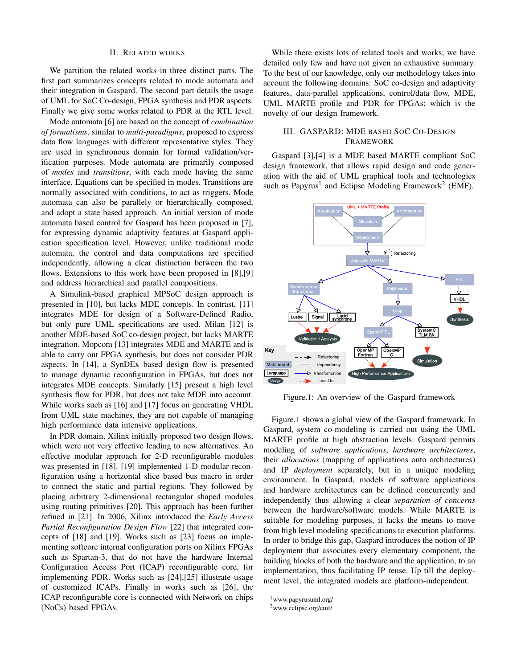#### II. RELATED WORKS

We partition the related works in three distinct parts. The first part summarizes concepts related to mode automata and their integration in Gaspard. The second part details the usage of UML for SoC Co-design, FPGA synthesis and PDR aspects. Finally we give some works related to PDR at the RTL level.

Mode automata [6] are based on the concept of *combination of formalisms*, similar to *multi-paradigms*, proposed to express data flow languages with different representative styles. They are used in synchronous domain for formal validation/verification purposes. Mode automata are primarily composed of *modes* and *transitions*, with each mode having the same interface. Equations can be specified in modes. Transitions are normally associated with conditions, to act as triggers. Mode automata can also be parallely or hierarchically composed, and adopt a state based approach. An initial version of mode automata based control for Gaspard has been proposed in [7], for expressing dynamic adaptivity features at Gaspard application specification level. However, unlike traditional mode automata, the control and data computations are specified independently, allowing a clear distinction between the two flows. Extensions to this work have been proposed in [8],[9] and address hierarchical and parallel compositions.

A Simulink-based graphical MPSoC design approach is presented in [10], but lacks MDE concepts. In contrast, [11] integrates MDE for design of a Software-Defined Radio, but only pure UML specifications are used. Milan [12] is another MDE-based SoC co-design project, but lacks MARTE integration. Mopcom [13] integrates MDE and MARTE and is able to carry out FPGA synthesis, but does not consider PDR aspects. In [14], a SynDEx based design flow is presented to manage dynamic reconfiguration in FPGAs, but does not integrates MDE concepts. Similarly [15] present a high level synthesis flow for PDR, but does not take MDE into account. While works such as [16] and [17] focus on generating VHDL from UML state machines, they are not capable of managing high performance data intensive applications.

In PDR domain, Xilinx initially proposed two design flows, which were not very effective leading to new alternatives. An effective modular approach for 2-D reconfigurable modules was presented in [18]. [19] implemented 1-D modular reconfiguration using a horizontal slice based bus macro in order to connect the static and partial regions. They followed by placing arbitrary 2-dimensional rectangular shaped modules using routing primitives [20]. This approach has been further refined in [21]. In 2006, Xilinx introduced the *Early Access Partial Reconfiguration Design Flow* [22] that integrated concepts of [18] and [19]. Works such as [23] focus on implementing softcore internal configuration ports on Xilinx FPGAs such as Spartan-3, that do not have the hardware Internal Configuration Access Port (ICAP) reconfigurable core, for implementing PDR. Works such as [24],[25] illustrate usage of customized ICAPs. Finally in works such as [26], the ICAP reconfigurable core is connected with Network on chips (NoCs) based FPGAs.

While there exists lots of related tools and works; we have detailed only few and have not given an exhaustive summary. To the best of our knowledge, only our methodology takes into account the following domains: SoC co-design and adaptivity features, data-parallel applications, control/data flow, MDE, UML MARTE profile and PDR for FPGAs; which is the novelty of our design framework.

#### III. GASPARD: MDE BASED SOC CO-DESIGN FRAMEWORK

Gaspard [3],[4] is a MDE based MARTE compliant SoC design framework, that allows rapid design and code generation with the aid of UML graphical tools and technologies such as Papyrus<sup>1</sup> and Eclipse Modeling Framework<sup>2</sup> (EMF).



Figure.1: An overview of the Gaspard framework

Figure.1 shows a global view of the Gaspard framework. In Gaspard, system co-modeling is carried out using the UML MARTE profile at high abstraction levels. Gaspard permits modeling of *software applications*, *hardware architectures*, their *allocations* (mapping of applications onto architectures) and IP *deployment* separately, but in a unique modeling environment. In Gaspard, models of software applications and hardware architectures can be defined concurrently and independently thus allowing a clear *separation of concerns* between the hardware/software models. While MARTE is suitable for modeling purposes, it lacks the means to move from high level modeling specifications to execution platforms. In order to bridge this gap, Gaspard introduces the notion of IP deployment that associates every elementary component, the building blocks of both the hardware and the application, to an implementation, thus facilitating IP reuse. Up till the deployment level, the integrated models are platform-independent.

<sup>1</sup>www.papyrusuml.org/

<sup>2</sup>www.eclipse.org/emf/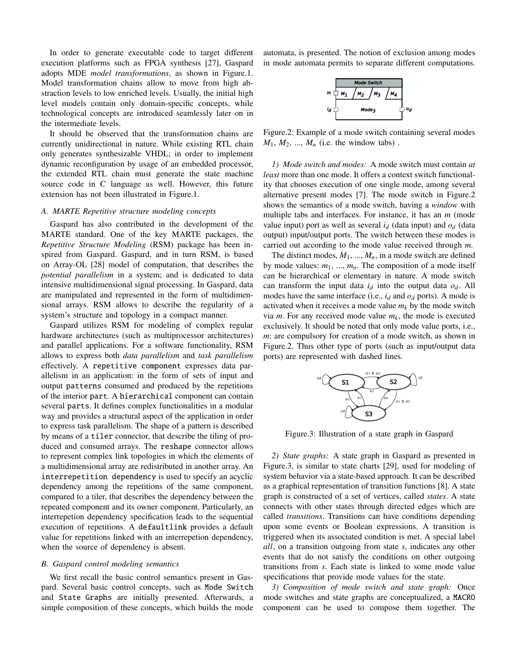In order to generate executable code to target different execution platforms such as FPGA synthesis [27], Gaspard adopts MDE *model transformations*, as shown in Figure.1. Model transformation chains allow to move from high abstraction levels to low enriched levels. Usually, the initial high level models contain only domain-specific concepts, while technological concepts are introduced seamlessly later on in the intermediate levels.

It should be observed that the transformation chains are currently unidirectional in nature. While existing RTL chain only generates synthesizable VHDL; in order to implement dynamic reconfiguration by usage of an embedded processor, the extended RTL chain must generate the state machine source code in C language as well. However, this future extension has not been illustrated in Figure.1.

#### *A. MARTE Repetitive structure modeling concepts*

Gaspard has also contributed in the development of the MARTE standard. One of the key MARTE packages, the *Repetitive Structure Modeling* (RSM) package has been inspired from Gaspard. Gaspard, and in turn RSM, is based on Array-OL [28] model of computation, that describes the *potential parallelism* in a system; and is dedicated to data intensive multidimensional signal processing. In Gaspard, data are manipulated and represented in the form of multidimensional arrays. RSM allows to describe the regularity of a system's structure and topology in a compact manner.

Gaspard utilizes RSM for modeling of complex regular hardware architectures (such as multiprocessor architectures) and parallel applications. For a software functionality, RSM allows to express both *data parallelism* and *task parallelism* effectively. A repetitive component expresses data parallelism in an application: in the form of sets of input and output patterns consumed and produced by the repetitions of the interior part. A hierarchical component can contain several parts. It defines complex functionalities in a modular way and provides a structural aspect of the application in order to express task parallelism. The shape of a pattern is described by means of a tiler connector, that describe the tiling of produced and consumed arrays. The reshape connector allows to represent complex link topologies in which the elements of a multidimensional array are redistributed in another array. An interrepetition dependency is used to specify an acyclic dependency among the repetitions of the same component, compared to a tiler, that describes the dependency between the repeated component and its owner component. Particularly, an interrepetion dependency specification leads to the sequential execution of repetitions. A defaultlink provides a default value for repetitions linked with an interrepetion dependency, when the source of dependency is absent.

#### *B. Gaspard control modeling semantics*

We first recall the basic control semantics present in Gaspard. Several basic control concepts, such as Mode Switch and State Graphs are initially presented. Afterwards, a simple composition of these concepts, which builds the mode

automata, is presented. The notion of exclusion among modes in mode automata permits to separate different computations.

$$
m \begin{array}{c|c}\n & \text{Mode switch} \\
m \begin{array}{c|c}\n & \text{M}_1 & \text{M}_2 & \text{M}_3 \\
\hline\n & \text{Mode}_3 & \text{O}_4\n\end{array}\n\end{array}
$$

Figure.2: Example of a mode switch containing several modes  $M_1, M_2, ..., M_n$  (i.e. the window tabs).

*1) Mode switch and modes:* A mode switch must contain *at least* more than one mode. It offers a context switch functionality that chooses execution of one single mode, among several alternative present modes [7]. The mode switch in Figure.2 shows the semantics of a mode switch, having a *window* with multiple tabs and interfaces. For instance, it has an *m* (mode value input) port as well as several  $i_d$  (data input) and  $o_d$  (data output) input/output ports. The switch between these modes is carried out according to the mode value received through *m*.

The distinct modes,  $M_1$ , ...,  $M_n$ , in a mode switch are defined by mode values:  $m_1$ , ...,  $m_n$ . The composition of a mode itself can be hierarchical or elementary in nature. A mode switch can transform the input data  $i_d$  into the output data  $o_d$ . All modes have the same interface (i.e.,  $i_d$  and  $o_d$  ports). A mode is activated when it receives a mode value  $m_k$  by the mode switch via  $m$ . For any received mode value  $m_k$ , the mode is executed exclusively. It should be noted that only mode value ports, i.e., *m*; are compulsory for creation of a mode switch, as shown in Figure.2. Thus other type of ports (such as input/output data ports) are represented with dashed lines.



Figure.3: Illustration of a state graph in Gaspard

*2) State graphs:* A state graph in Gaspard as presented in Figure.3, is similar to state charts [29], used for modeling of system behavior via a state-based approach. It can be described as a graphical representation of transition functions [8]. A state graph is constructed of a set of vertices, called *states*. A state connects with other states through directed edges which are called *transitions*. Transitions can have conditions depending upon some events or Boolean expressions. A transition is triggered when its associated condition is met. A special label *all*, on a transition outgoing from state *s*, indicates any other events that do not satisfy the conditions on other outgoing transitions from *s*. Each state is linked to some mode value specifications that provide mode values for the state.

*3) Composition of mode switch and state graph:* Once mode switches and state graphs are conceptualized, a MACRO component can be used to compose them together. The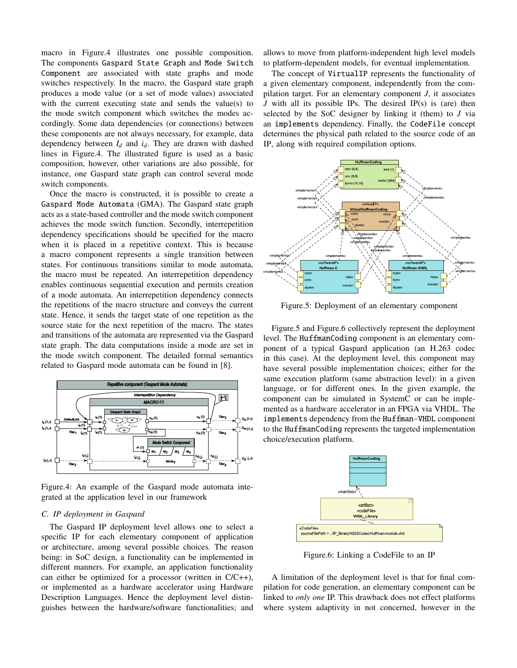macro in Figure.4 illustrates one possible composition. The components Gaspard State Graph and Mode Switch Component are associated with state graphs and mode switches respectively. In the macro, the Gaspard state graph produces a mode value (or a set of mode values) associated with the current executing state and sends the value(s) to the mode switch component which switches the modes accordingly. Some data dependencies (or connections) between these components are not always necessary, for example, data dependency between  $I_d$  and  $i_d$ . They are drawn with dashed lines in Figure.4. The illustrated figure is used as a basic composition, however, other variations are also possible, for instance, one Gaspard state graph can control several mode switch components.

Once the macro is constructed, it is possible to create a Gaspard Mode Automata (GMA). The Gaspard state graph acts as a state-based controller and the mode switch component achieves the mode switch function. Secondly, interrepetition dependency specifications should be specified for the macro when it is placed in a repetitive context. This is because a macro component represents a single transition between states. For continuous transitions similar to mode automata, the macro must be repeated. An interrepetition dependency enables continuous sequential execution and permits creation of a mode automata. An interrepetition dependency connects the repetitions of the macro structure and conveys the current state. Hence, it sends the target state of one repetition as the source state for the next repetition of the macro. The states and transitions of the automata are represented via the Gaspard state graph. The data computations inside a mode are set in the mode switch component. The detailed formal semantics related to Gaspard mode automata can be found in [8].



Figure.4: An example of the Gaspard mode automata integrated at the application level in our framework

#### *C. IP deployment in Gaspard*

The Gaspard IP deployment level allows one to select a specific IP for each elementary component of application or architecture, among several possible choices. The reason being: in SoC design, a functionality can be implemented in different manners. For example, an application functionality can either be optimized for a processor (written in C/C++), or implemented as a hardware accelerator using Hardware Description Languages. Hence the deployment level distinguishes between the hardware/software functionalities; and

allows to move from platform-independent high level models to platform-dependent models, for eventual implementation.

The concept of VirtualIP represents the functionality of a given elementary component, independently from the compilation target. For an elementary component *J*, it associates *J* with all its possible IPs. The desired IP(s) is (are) then selected by the SoC designer by linking it (them) to *J* via an implements dependency. Finally, the CodeFile concept determines the physical path related to the source code of an IP, along with required compilation options.



Figure.5: Deployment of an elementary component

Figure.5 and Figure.6 collectively represent the deployment level. The HuffmanCoding component is an elementary component of a typical Gaspard application (an H.263 codec in this case). At the deployment level, this component may have several possible implementation choices; either for the same execution platform (same abstraction level): in a given language, or for different ones. In the given example, the component can be simulated in SystemC or can be implemented as a hardware accelerator in an FPGA via VHDL. The implements dependency from the Huffman-VHDL component to the HuffmanCoding represents the targeted implementation choice/execution platform.



Figure.6: Linking a CodeFile to an IP

A limitation of the deployment level is that for final compilation for code generation, an elementary component can be linked to *only one* IP. This drawback does not effect platforms where system adaptivity in not concerned, however in the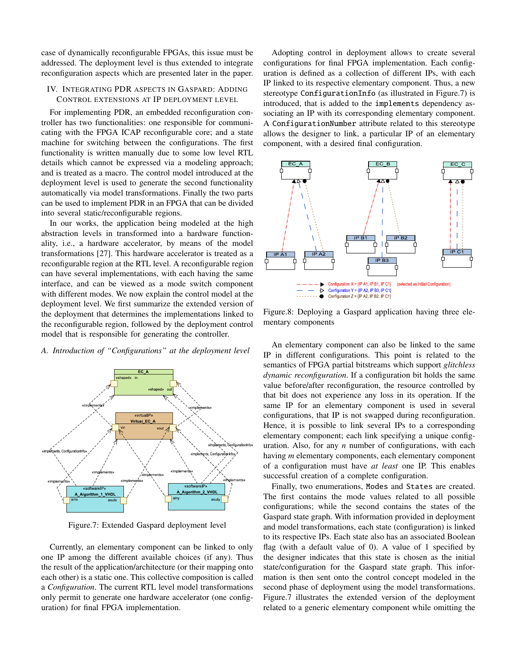case of dynamically reconfigurable FPGAs, this issue must be addressed. The deployment level is thus extended to integrate reconfiguration aspects which are presented later in the paper.

#### IV. INTEGRATING PDR ASPECTS IN GASPARD: ADDING CONTROL EXTENSIONS AT IP DEPLOYMENT LEVEL

For implementing PDR, an embedded reconfiguration controller has two functionalities: one responsible for communicating with the FPGA ICAP reconfigurable core; and a state machine for switching between the configurations. The first functionality is written manually due to some low level RTL details which cannot be expressed via a modeling approach; and is treated as a macro. The control model introduced at the deployment level is used to generate the second functionality automatically via model transformations. Finally the two parts can be used to implement PDR in an FPGA that can be divided into several static/reconfigurable regions.

In our works, the application being modeled at the high abstraction levels in transformed into a hardware functionality, i.e., a hardware accelerator, by means of the model transformations [27]. This hardware accelerator is treated as a reconfigurable region at the RTL level. A reconfigurable region can have several implementations, with each having the same interface, and can be viewed as a mode switch component with different modes. We now explain the control model at the deployment level. We first summarize the extended version of the deployment that determines the implementations linked to the reconfigurable region, followed by the deployment control model that is responsible for generating the controller.

#### *A. Introduction of "Configurations" at the deployment level*



Figure.7: Extended Gaspard deployment level

Currently, an elementary component can be linked to only one IP among the different available choices (if any). Thus the result of the application/architecture (or their mapping onto each other) is a static one. This collective composition is called a *Configuration*. The current RTL level model transformations only permit to generate one hardware accelerator (one configuration) for final FPGA implementation.

Adopting control in deployment allows to create several configurations for final FPGA implementation. Each configuration is defined as a collection of different IPs, with each IP linked to its respective elementary component. Thus, a new stereotype ConfigurationInfo (as illustrated in Figure.7) is introduced, that is added to the implements dependency associating an IP with its corresponding elementary component. A ConfigurationNumber attribute related to this stereotype allows the designer to link, a particular IP of an elementary component, with a desired final configuration.



Figure.8: Deploying a Gaspard application having three elementary components

An elementary component can also be linked to the same IP in different configurations. This point is related to the semantics of FPGA partial bitstreams which support *glitchless dynamic reconfiguration*. If a configuration bit holds the same value before/after reconfiguration, the resource controlled by that bit does not experience any loss in its operation. If the same IP for an elementary component is used in several configurations, that IP is not swapped during reconfiguration. Hence, it is possible to link several IPs to a corresponding elementary component; each link specifying a unique configuration. Also, for any *n* number of configurations, with each having *m* elementary components, each elementary component of a configuration must have *at least* one IP. This enables successful creation of a complete configuration.

Finally, two enumerations, Modes and States are created. The first contains the mode values related to all possible configurations; while the second contains the states of the Gaspard state graph. With information provided in deployment and model transformations, each state (configuration) is linked to its respective IPs. Each state also has an associated Boolean flag (with a default value of 0). A value of 1 specified by the designer indicates that this state is chosen as the initial state/configuration for the Gaspard state graph. This information is then sent onto the control concept modeled in the second phase of deployment using the model transformations. Figure.7 illustrates the extended version of the deployment related to a generic elementary component while omitting the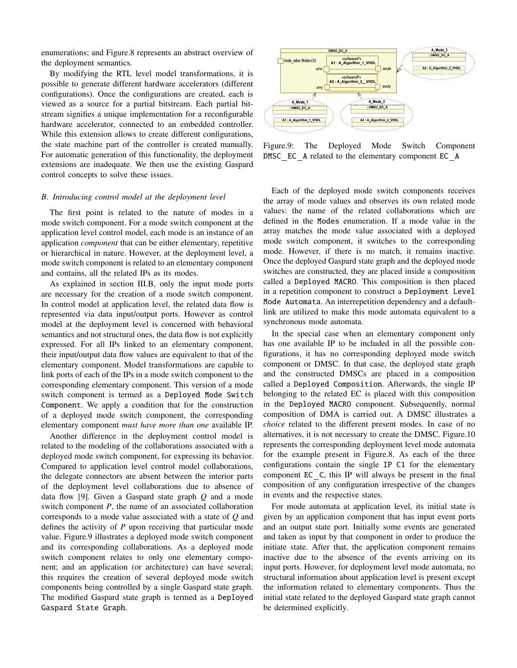enumerations; and Figure.8 represents an abstract overview of the deployment semantics.

By modifying the RTL level model transformations, it is possible to generate different hardware accelerators (different configurations). Once the configurations are created, each is viewed as a source for a partial bitstream. Each partial bitstream signifies a unique implementation for a reconfigurable hardware accelerator, connected to an embedded controller. While this extension allows to create different configurations, the state machine part of the controller is created manually. For automatic generation of this functionality, the deployment extensions are inadequate. We then use the existing Gaspard control concepts to solve these issues.

#### *B. Introducing control model at the deployment level*

The first point is related to the nature of modes in a mode switch component. For a mode switch component at the application level control model, each mode is an instance of an application *component* that can be either elementary, repetitive or hierarchical in nature. However, at the deployment level, a mode switch component is related to an elementary component and contains, all the related IPs as its modes.

As explained in section III.B, only the input mode ports are necessary for the creation of a mode switch component. In control model at application level, the related data flow is represented via data input/output ports. However as control model at the deployment level is concerned with behavioral semantics and not structural ones, the data flow is not explicitly expressed. For all IPs linked to an elementary component, their input/output data flow values are equivalent to that of the elementary component. Model transformations are capable to link ports of each of the IPs in a mode switch component to the corresponding elementary component. This version of a mode switch component is termed as a Deployed Mode Switch Component. We apply a condition that for the construction of a deployed mode switch component, the corresponding elementary component *must have more than one* available IP.

Another difference in the deployment control model is related to the modeling of the collaborations associated with a deployed mode switch component, for expressing its behavior. Compared to application level control model collaborations, the delegate connectors are absent between the interior parts of the deployment level collaborations due to absence of data flow [9]. Given a Gaspard state graph *Q* and a mode switch component *P*, the name of an associated collaboration corresponds to a mode value associated with a state of *Q* and defines the activity of *P* upon receiving that particular mode value. Figure.9 illustrates a deployed mode switch component and its corresponding collaborations. As a deployed mode switch component relates to only one elementary component; and an application (or architecture) can have several; this requires the creation of several deployed mode switch components being controlled by a single Gaspard state graph. The modified Gaspard state graph is termed as a Deployed Gaspard State Graph.



Figure.9: The Deployed Mode Switch Component DMSC EC A related to the elementary component EC A

Each of the deployed mode switch components receives the array of mode values and observes its own related mode values: the name of the related collaborations which are defined in the Modes enumeration. If a mode value in the array matches the mode value associated with a deployed mode switch component, it switches to the corresponding mode. However, if there is no match, it remains inactive. Once the deployed Gaspard state graph and the deployed mode switches are constructed, they are placed inside a composition called a Deployed MACRO. This composition is then placed in a repetition component to construct a Deployment Level Mode Automata. An interrepetition dependency and a defaultlink are utilized to make this mode automata equivalent to a synchronous mode automata.

In the special case when an elementary component only has one available IP to be included in all the possible configurations, it has no corresponding deployed mode switch component or DMSC. In that case, the deployed state graph and the constructed DMSCs are placed in a composition called a Deployed Composition. Afterwards, the single IP belonging to the related EC is placed with this composition in the Deployed MACRO component. Subsequently, normal composition of DMA is carried out. A DMSC illustrates a *choice* related to the different present modes. In case of no alternatives, it is not necessary to create the DMSC. Figure.10 represents the corresponding deployment level mode automata for the example present in Figure.8. As each of the three configurations contain the single IP C1 for the elementary component EC C, this IP will always be present in the final composition of any configuration irrespective of the changes in events and the respective states.

For mode automata at application level, its initial state is given by an application component that has input event ports and an output state port. Initially some events are generated and taken as input by that component in order to produce the initiate state. After that, the application component remains inactive due to the absence of the events arriving on its input ports. However, for deployment level mode automata, no structural information about application level is present except the information related to elementary components. Thus the initial state related to the deployed Gaspard state graph cannot be determined explicitly.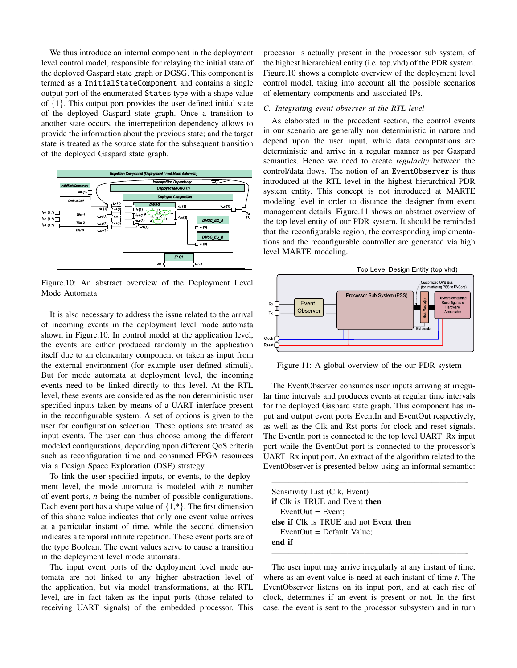We thus introduce an internal component in the deployment level control model, responsible for relaying the initial state of the deployed Gaspard state graph or DGSG. This component is termed as a InitialStateComponent and contains a single output port of the enumerated States type with a shape value of  $\{1\}$ . This output port provides the user defined initial state of the deployed Gaspard state graph. Once a transition to another state occurs, the interrepetition dependency allows to provide the information about the previous state; and the target state is treated as the source state for the subsequent transition of the deployed Gaspard state graph.



Figure.10: An abstract overview of the Deployment Level Mode Automata

It is also necessary to address the issue related to the arrival of incoming events in the deployment level mode automata shown in Figure.10. In control model at the application level, the events are either produced randomly in the application itself due to an elementary component or taken as input from the external environment (for example user defined stimuli). But for mode automata at deployment level, the incoming events need to be linked directly to this level. At the RTL level, these events are considered as the non deterministic user specified inputs taken by means of a UART interface present in the reconfigurable system. A set of options is given to the user for configuration selection. These options are treated as input events. The user can thus choose among the different modeled configurations, depending upon different QoS criteria such as reconfiguration time and consumed FPGA resources via a Design Space Exploration (DSE) strategy.

To link the user specified inputs, or events, to the deployment level, the mode automata is modeled with *n* number of event ports, *n* being the number of possible configurations. Each event port has a shape value of  $\{1, *\}$ . The first dimension of this shape value indicates that only one event value arrives at a particular instant of time, while the second dimension indicates a temporal infinite repetition. These event ports are of the type Boolean. The event values serve to cause a transition in the deployment level mode automata.

The input event ports of the deployment level mode automata are not linked to any higher abstraction level of the application, but via model transformations, at the RTL level, are in fact taken as the input ports (those related to receiving UART signals) of the embedded processor. This

processor is actually present in the processor sub system, of the highest hierarchical entity (i.e. top.vhd) of the PDR system. Figure.10 shows a complete overview of the deployment level control model, taking into account all the possible scenarios of elementary components and associated IPs.

#### *C. Integrating event observer at the RTL level*

As elaborated in the precedent section, the control events in our scenario are generally non deterministic in nature and depend upon the user input, while data computations are deterministic and arrive in a regular manner as per Gaspard semantics. Hence we need to create *regularity* between the control/data flows. The notion of an EventObserver is thus introduced at the RTL level in the highest hierarchical PDR system entity. This concept is not introduced at MARTE modeling level in order to distance the designer from event management details. Figure.11 shows an abstract overview of the top level entity of our PDR system. It should be reminded that the reconfigurable region, the corresponding implementations and the reconfigurable controller are generated via high level MARTE modeling.



Figure.11: A global overview of the our PDR system

The EventObserver consumes user inputs arriving at irregular time intervals and produces events at regular time intervals for the deployed Gaspard state graph. This component has input and output event ports EventIn and EventOut respectively, as well as the Clk and Rst ports for clock and reset signals. The EventIn port is connected to the top level UART Rx input port while the EventOut port is connected to the processor's UART Rx input port. An extract of the algorithm related to the EventObserver is presented below using an informal semantic:

| Sensitivity List (Clk, Event)          |  |
|----------------------------------------|--|
| <b>if</b> Clk is TRUE and Event then   |  |
| $EventOut = Event:$                    |  |
| else if Clk is TRUE and not Event then |  |
| EventOut $=$ Default Value;            |  |
| end if                                 |  |

The user input may arrive irregularly at any instant of time, where as an event value is need at each instant of time *t*. The EventObserver listens on its input port, and at each rise of clock, determines if an event is present or not. In the first case, the event is sent to the processor subsystem and in turn